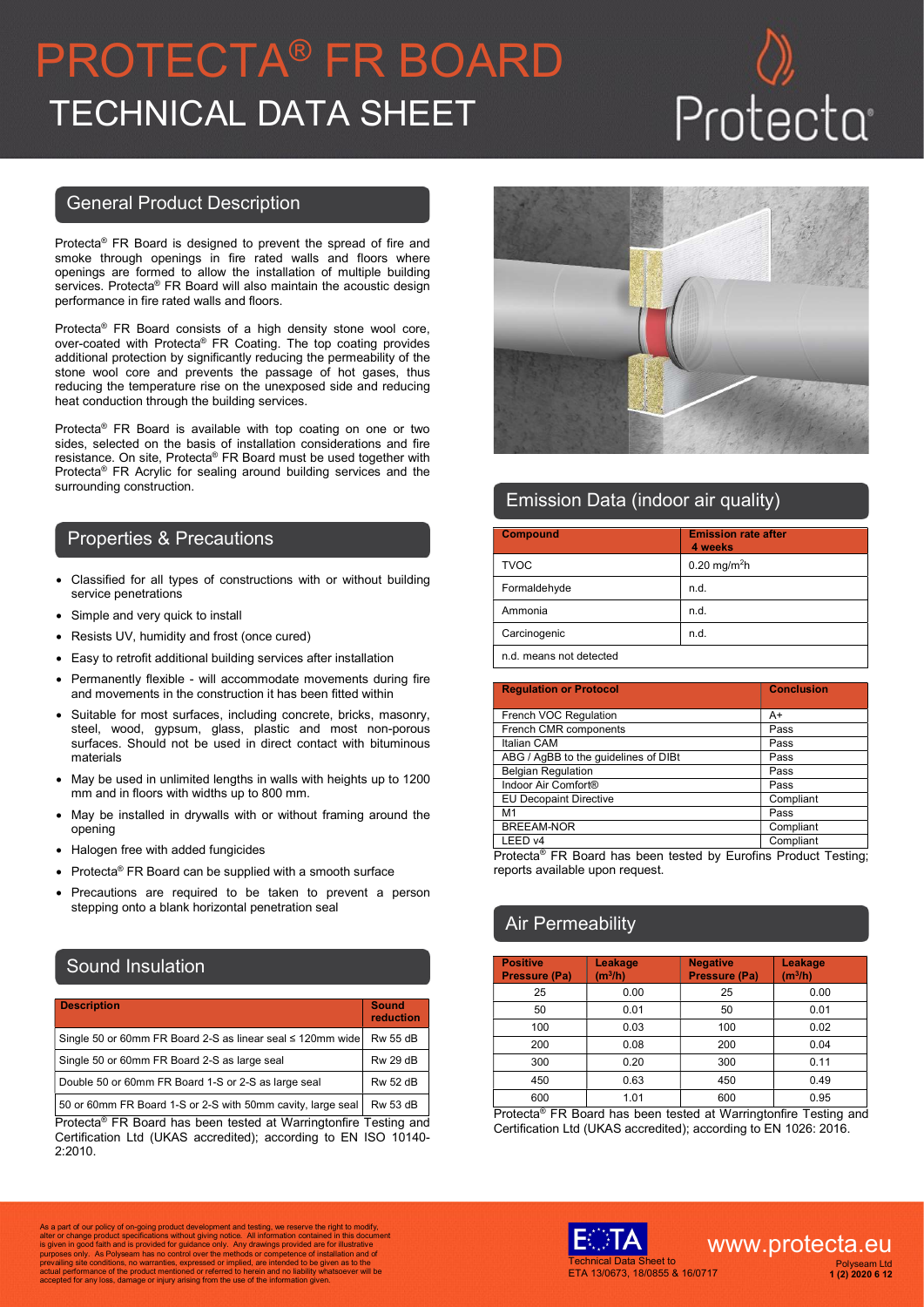# PROTECTA® FR BOARD TECHNICAL DATA SHEET Protecta

### General Product Description

Protecta® FR Board is designed to prevent the spread of fire and smoke through openings in fire rated walls and floors where openings are formed to allow the installation of multiple building services. Protecta® FR Board will also maintain the acoustic design performance in fire rated walls and floors.

Protecta® FR Board consists of a high density stone wool core, over-coated with Protecta® FR Coating. The top coating provides additional protection by significantly reducing the permeability of the stone wool core and prevents the passage of hot gases, thus reducing the temperature rise on the unexposed side and reducing heat conduction through the building services.

Protecta® FR Board is available with top coating on one or two sides, selected on the basis of installation considerations and fire resistance. On site, Protecta® FR Board must be used together with Protecta® FR Acrylic for sealing around building services and the surrounding construction.

#### Properties & Precautions

- Classified for all types of constructions with or without building service penetrations
- Simple and very quick to install
- Resists UV, humidity and frost (once cured)
- Easy to retrofit additional building services after installation
- Permanently flexible will accommodate movements during fire and movements in the construction it has been fitted within
- Suitable for most surfaces, including concrete, bricks, masonry, steel, wood, gypsum, glass, plastic and most non-porous surfaces. Should not be used in direct contact with bituminous materials
- May be used in unlimited lengths in walls with heights up to 1200 mm and in floors with widths up to 800 mm.
- May be installed in drywalls with or without framing around the opening
- Halogen free with added fungicides
- Protecta® FR Board can be supplied with a smooth surface
- Precautions are required to be taken to prevent a person stepping onto a blank horizontal penetration seal

### Sound Insulation

| <b>Description</b>                                         | <b>Sound</b><br>reduction |
|------------------------------------------------------------|---------------------------|
| Single 50 or 60mm FR Board 2-S as linear seal ≤ 120mm wide | <b>Rw 55 dB</b>           |
| Single 50 or 60mm FR Board 2-S as large seal               | <b>Rw 29 dB</b>           |
| Double 50 or 60mm FR Board 1-S or 2-S as large seal        | <b>Rw 52 dB</b>           |
| $\blacksquare$                                             |                           |

| 50 or 60mm FR Board 1-S or 2-S with 50mm cavity, large seal | Rw 53 dB Protecta® FR Board has been tested at Warringtonfire Testing and Certification Ltd (UKAS accredited); according to EN ISO 10140- 2:2010.



### Emission Data (indoor air quality)

| <b>Compound</b>         | <b>Emission rate after</b><br>4 weeks |
|-------------------------|---------------------------------------|
| <b>TVOC</b>             | 0.20 mg/m <sup>2</sup> h              |
| Formaldehyde            | n.d.                                  |
| Ammonia                 | n.d.                                  |
| Carcinogenic            | n.d.                                  |
| n.d. means not detected |                                       |

| <b>Regulation or Protocol</b>                                               | <b>Conclusion</b> |
|-----------------------------------------------------------------------------|-------------------|
|                                                                             |                   |
| French VOC Regulation                                                       | A+                |
| French CMR components                                                       | Pass              |
| Italian CAM                                                                 | Pass              |
| ABG / AgBB to the quidelines of DIBt                                        | Pass              |
| <b>Belgian Regulation</b>                                                   | Pass              |
| Indoor Air Comfort®                                                         | Pass              |
| <b>EU Decopaint Directive</b>                                               | Compliant         |
| M <sub>1</sub>                                                              | Pass              |
| <b>BREEAM-NOR</b>                                                           | Compliant         |
| LEED v4                                                                     | Compliant         |
| Protecta <sup>®</sup> FR Board has been tested by Eurofins Product Testing: |                   |

reports available upon request.

### **Air Permeability**

| <b>Positive</b><br><b>Pressure (Pa)</b> | Leakage<br>(m <sup>3</sup> /h) | <b>Negative</b><br><b>Pressure (Pa)</b> | Leakage<br>(m <sup>3</sup> /h) |
|-----------------------------------------|--------------------------------|-----------------------------------------|--------------------------------|
| 25                                      | 0.00                           | 25                                      | 0.00                           |
| 50                                      | 0.01                           | 50                                      | 0.01                           |
| 100                                     | 0.03                           | 100                                     | 0.02                           |
| 200                                     | 0.08                           | 200                                     | 0.04                           |
| 300                                     | 0.20                           | 300                                     | 0.11                           |
| 450                                     | 0.63                           | 450                                     | 0.49                           |
| 600                                     | 1.01                           | 600                                     | 0.95                           |

Protecta® FR Board has been tested at Warringtonfire Testing and Certification Ltd (UKAS accredited); according to EN 1026: 2016.

As a part of our policy of on-going product development and testing, we reserve the right to modify,<br>alter or change product specifications without giving notice. All information contained in this document<br>is given in good Accepted for any loss, damage or injury arising from the use of the information given.<br>accepted for any loss, damage or injury arising from the use of the information given.



### www.protecta.eu Polyseam Ltd 1 (2) 2020 6 12